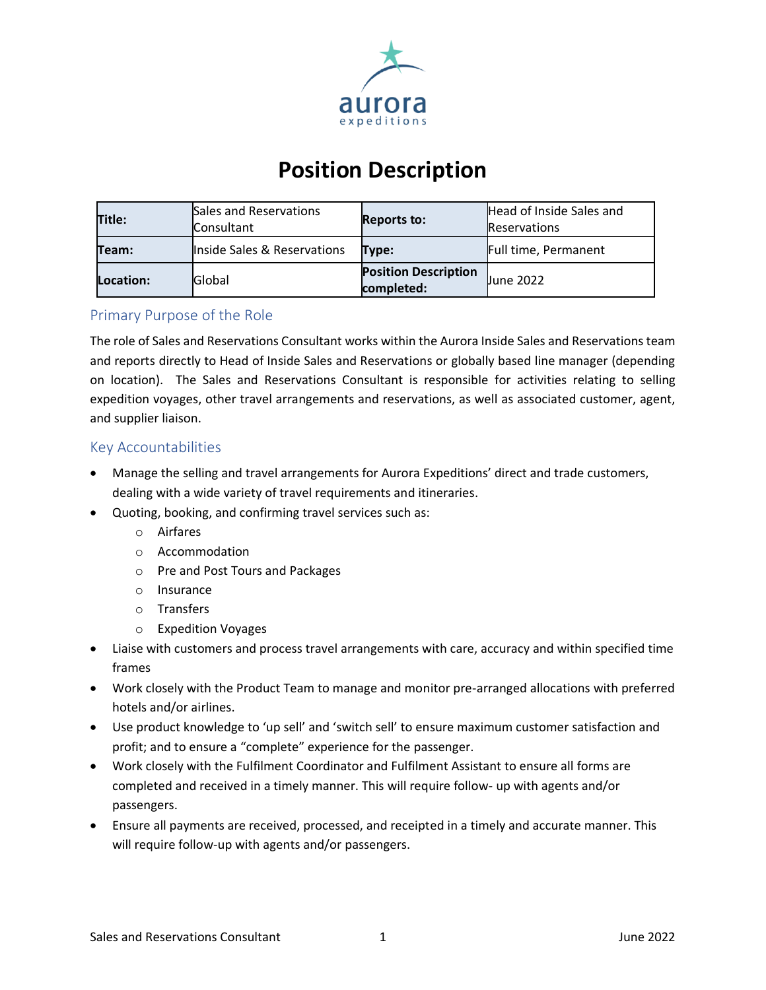

# **Position Description**

| Title:    | Sales and Reservations<br>Consultant | <b>Reports to:</b>                        | Head of Inside Sales and<br><b>Reservations</b> |
|-----------|--------------------------------------|-------------------------------------------|-------------------------------------------------|
| Team:     | Inside Sales & Reservations          | Type:                                     | Full time, Permanent                            |
| Location: | <b>Global</b>                        | <b>Position Description</b><br>completed: | <b>Uune 2022</b>                                |

# Primary Purpose of the Role

The role of Sales and Reservations Consultant works within the Aurora Inside Sales and Reservations team and reports directly to Head of Inside Sales and Reservations or globally based line manager (depending on location). The Sales and Reservations Consultant is responsible for activities relating to selling expedition voyages, other travel arrangements and reservations, as well as associated customer, agent, and supplier liaison.

### Key Accountabilities

- Manage the selling and travel arrangements for Aurora Expeditions' direct and trade customers, dealing with a wide variety of travel requirements and itineraries.
- Quoting, booking, and confirming travel services such as:
	- o Airfares
	- o Accommodation
	- o Pre and Post Tours and Packages
	- o Insurance
	- o Transfers
	- o Expedition Voyages
- Liaise with customers and process travel arrangements with care, accuracy and within specified time frames
- Work closely with the Product Team to manage and monitor pre-arranged allocations with preferred hotels and/or airlines.
- Use product knowledge to 'up sell' and 'switch sell' to ensure maximum customer satisfaction and profit; and to ensure a "complete" experience for the passenger.
- Work closely with the Fulfilment Coordinator and Fulfilment Assistant to ensure all forms are completed and received in a timely manner. This will require follow- up with agents and/or passengers.
- Ensure all payments are received, processed, and receipted in a timely and accurate manner. This will require follow-up with agents and/or passengers.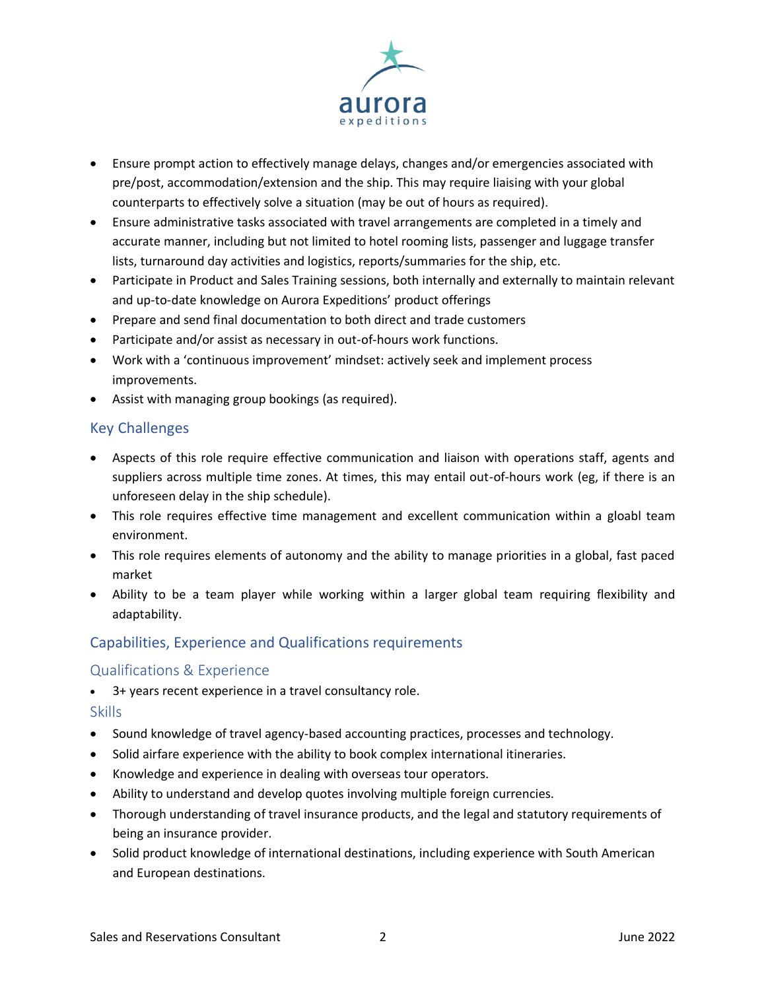

- Ensure prompt action to effectively manage delays, changes and/or emergencies associated with pre/post, accommodation/extension and the ship. This may require liaising with your global counterparts to effectively solve a situation (may be out of hours as required).
- Ensure administrative tasks associated with travel arrangements are completed in a timely and accurate manner, including but not limited to hotel rooming lists, passenger and luggage transfer lists, turnaround day activities and logistics, reports/summaries for the ship, etc.
- Participate in Product and Sales Training sessions, both internally and externally to maintain relevant and up-to-date knowledge on Aurora Expeditions' product offerings
- Prepare and send final documentation to both direct and trade customers
- Participate and/or assist as necessary in out-of-hours work functions.
- Work with a 'continuous improvement' mindset: actively seek and implement process improvements.
- Assist with managing group bookings (as required).

# Key Challenges

- Aspects of this role require effective communication and liaison with operations staff, agents and suppliers across multiple time zones. At times, this may entail out-of-hours work (eg, if there is an unforeseen delay in the ship schedule).
- This role requires effective time management and excellent communication within a gloabl team environment.
- This role requires elements of autonomy and the ability to manage priorities in a global, fast paced market
- Ability to be a team player while working within a larger global team requiring flexibility and adaptability.

# Capabilities, Experience and Qualifications requirements

# Qualifications & Experience

• 3+ years recent experience in a travel consultancy role.

#### Skills

- Sound knowledge of travel agency-based accounting practices, processes and technology.
- Solid airfare experience with the ability to book complex international itineraries.
- Knowledge and experience in dealing with overseas tour operators.
- Ability to understand and develop quotes involving multiple foreign currencies.
- Thorough understanding of travel insurance products, and the legal and statutory requirements of being an insurance provider.
- Solid product knowledge of international destinations, including experience with South American and European destinations.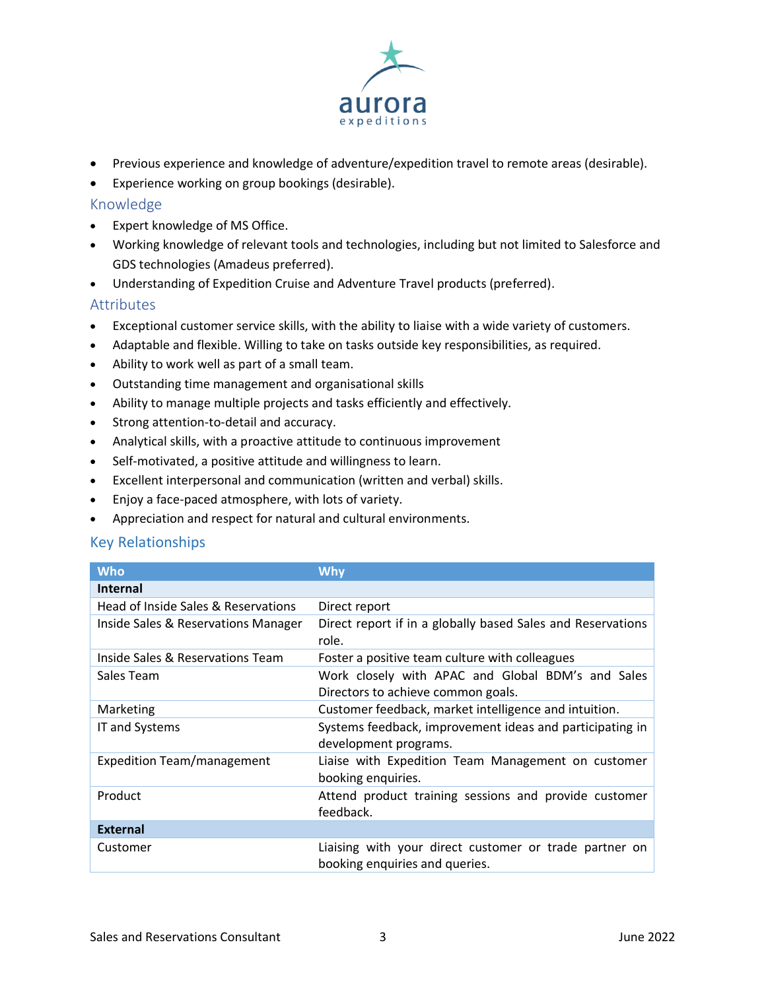

- Previous experience and knowledge of adventure/expedition travel to remote areas (desirable).
- Experience working on group bookings (desirable).

#### Knowledge

- Expert knowledge of MS Office.
- Working knowledge of relevant tools and technologies, including but not limited to Salesforce and GDS technologies (Amadeus preferred).
- Understanding of Expedition Cruise and Adventure Travel products (preferred).

#### Attributes

- Exceptional customer service skills, with the ability to liaise with a wide variety of customers.
- Adaptable and flexible. Willing to take on tasks outside key responsibilities, as required.
- Ability to work well as part of a small team.
- Outstanding time management and organisational skills
- Ability to manage multiple projects and tasks efficiently and effectively.
- Strong attention-to-detail and accuracy.
- Analytical skills, with a proactive attitude to continuous improvement
- Self-motivated, a positive attitude and willingness to learn.
- Excellent interpersonal and communication (written and verbal) skills.
- Enjoy a face-paced atmosphere, with lots of variety.
- Appreciation and respect for natural and cultural environments.

#### Key Relationships

| <b>Who</b>                          | Why                                                                                      |  |  |
|-------------------------------------|------------------------------------------------------------------------------------------|--|--|
| <b>Internal</b>                     |                                                                                          |  |  |
| Head of Inside Sales & Reservations | Direct report                                                                            |  |  |
| Inside Sales & Reservations Manager | Direct report if in a globally based Sales and Reservations<br>role.                     |  |  |
| Inside Sales & Reservations Team    | Foster a positive team culture with colleagues                                           |  |  |
| Sales Team                          | Work closely with APAC and Global BDM's and Sales<br>Directors to achieve common goals.  |  |  |
| Marketing                           | Customer feedback, market intelligence and intuition.                                    |  |  |
| IT and Systems                      | Systems feedback, improvement ideas and participating in<br>development programs.        |  |  |
| <b>Expedition Team/management</b>   | Liaise with Expedition Team Management on customer<br>booking enquiries.                 |  |  |
| Product                             | Attend product training sessions and provide customer<br>feedback.                       |  |  |
| <b>External</b>                     |                                                                                          |  |  |
| Customer                            | Liaising with your direct customer or trade partner on<br>booking enquiries and queries. |  |  |